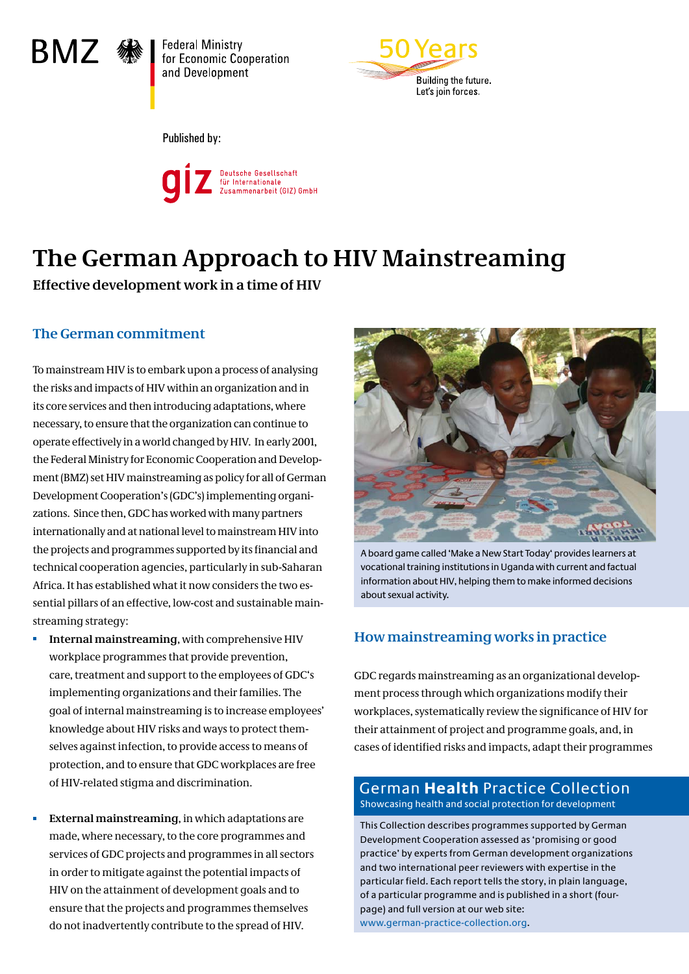

**Federal Ministry** for Economic Cooperation and Development



Published by:

Deutsche Gesellschaft<br>für Internationale<br>Zusammenarbeit (GIZ) GmbH

# **The German Approach to HIV Mainstreaming**

**Effective development work in a time of HIV** 

# **The German commitment**

To mainstream HIV is to embark upon a process of analysing the risks and impacts of HIV within an organization and in its core services and then introducing adaptations, where necessary, to ensure that the organization can continue to operate effectively in a world changed by HIV. In early 2001, the Federal Ministry for Economic Cooperation and Development (BMZ) set HIV mainstreaming as policy for all of German Development Cooperation's (GDC's) implementing organizations. Since then, GDC has worked with many partners internationally and at national level to mainstream HIV into the projects and programmes supported by its financial and technical cooperation agencies, particularly in sub-Saharan Africa. It has established what it now considers the two essential pillars of an effective, low-cost and sustainable mainstreaming strategy:

- **Internal mainstreaming**, with comprehensive HIV H. workplace programmes that provide prevention, care, treatment and support to the employees of GDC's implementing organizations and their families. The goal of internal mainstreaming is to increase employees' knowledge about HIV risks and ways to protect themselves against infection, to provide access to means of protection, and to ensure that GDC workplaces are free of HIV-related stigma and discrimination.
- j. **External mainstreaming**, in which adaptations are made, where necessary, to the core programmes and services of GDC projects and programmes in all sectors in order to mitigate against the potential impacts of HIV on the attainment of development goals and to ensure that the projects and programmes themselves do not inadvertently contribute to the spread of HIV.



A board game called 'Make a New Start Today' provides learners at vocational training institutions in Uganda with current and factual information about HIV, helping them to make informed decisions about sexual activity.

# **How mainstreaming works in practice**

GDC regards mainstreaming as an organizational development process through which organizations modify their workplaces, systematically review the significance of HIV for their attainment of project and programme goals, and, in cases of identified risks and impacts, adapt their programmes

## German **Health** Practice Collection Showcasing health and social protection for development

This Collection describes programmes supported by German Development Cooperation assessed as 'promising or good practice' by experts from German development organizations and two international peer reviewers with expertise in the particular field. Each report tells the story, in plain language, of a particular programme and is published in a short (fourpage) and full version at our web site: www.german-practice-collection.org.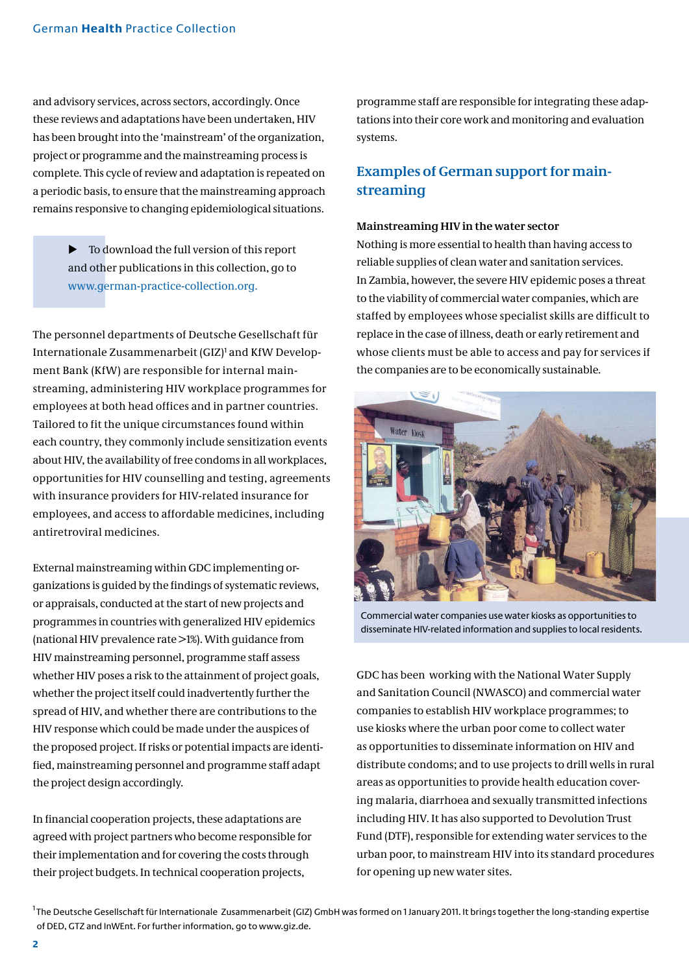and advisory services, across sectors, accordingly. Once these reviews and adaptations have been undertaken, HIV has been brought into the 'mainstream' of the organization, project or programme and the mainstreaming process is complete. This cycle of review and adaptation is repeated on a periodic basis, to ensure that the mainstreaming approach remains responsive to changing epidemiological situations.

> $\blacktriangleright$  To download the full version of this report and other publications in this collection, go to www.german-practice-collection.org.

The personnel departments of Deutsche Gesellschaft für Internationale Zusammenarbeit (GIZ)<sup>1</sup> and KfW Development Bank (KfW) are responsible for internal mainstreaming, administering HIV workplace programmes for employees at both head offices and in partner countries. Tailored to fit the unique circumstances found within each country, they commonly include sensitization events about HIV, the availability of free condoms in all workplaces, opportunities for HIV counselling and testing, agreements with insurance providers for HIV-related insurance for employees, and access to affordable medicines, including antiretroviral medicines.

External mainstreaming within GDC implementing organizations is guided by the findings of systematic reviews, or appraisals, conducted at the start of new projects and programmes in countries with generalized HIV epidemics (national HIV prevalence rate >1%). With guidance from HIV mainstreaming personnel, programme staff assess whether HIV poses a risk to the attainment of project goals, whether the project itself could inadvertently further the spread of HIV, and whether there are contributions to the HIV response which could be made under the auspices of the proposed project. If risks or potential impacts are identified, mainstreaming personnel and programme staff adapt the project design accordingly.

In financial cooperation projects, these adaptations are agreed with project partners who become responsible for their implementation and for covering the costs through their project budgets. In technical cooperation projects,

programme staff are responsible for integrating these adaptations into their core work and monitoring and evaluation systems.

## **Examples of German support for mainstreaming**

#### **Mainstreaming HIV in the water sector**

Nothing is more essential to health than having access to reliable supplies of clean water and sanitation services. In Zambia, however, the severe HIV epidemic poses a threat to the viability of commercial water companies, which are staffed by employees whose specialist skills are difficult to replace in the case of illness, death or early retirement and whose clients must be able to access and pay for services if the companies are to be economically sustainable.



Commercial water companies use water kiosks as opportunities to disseminate HIV-related information and supplies to local residents.

GDC has been working with the National Water Supply and Sanitation Council (NWASCO) and commercial water companies to establish HIV workplace programmes; to use kiosks where the urban poor come to collect water as opportunities to disseminate information on HIV and distribute condoms; and to use projects to drill wells in rural areas as opportunities to provide health education covering malaria, diarrhoea and sexually transmitted infections including HIV. It has also supported to Devolution Trust Fund (DTF), responsible for extending water services to the urban poor, to mainstream HIV into its standard procedures for opening up new water sites.

<sup>&</sup>lt;sup>1</sup>The Deutsche Gesellschaft für Internationale Zusammenarbeit (GIZ) GmbH was formed on 1 January 2011. It brings together the long-standing expertise of DED, GTZ and InWEnt. For further information, go to www.giz.de.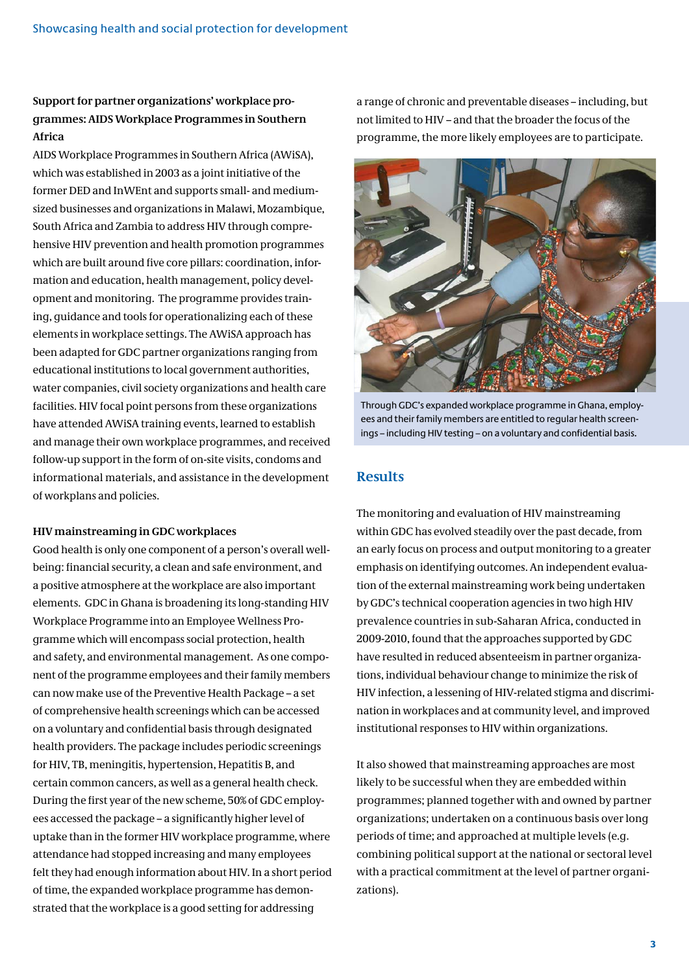## **Support for partner organizations' workplace programmes: AIDS Workplace Programmes in Southern Africa**

AIDS Workplace Programmes in Southern Africa (AWiSA), which was established in 2003 as a joint initiative of the former DED and InWEnt and supports small- and mediumsized businesses and organizations in Malawi, Mozambique, South Africa and Zambia to address HIV through comprehensive HIV prevention and health promotion programmes which are built around five core pillars: coordination, information and education, health management, policy development and monitoring. The programme provides training, guidance and tools for operationalizing each of these elements in workplace settings. The AWiSA approach has been adapted for GDC partner organizations ranging from educational institutions to local government authorities, water companies, civil society organizations and health care facilities. HIV focal point persons from these organizations have attended AWiSA training events, learned to establish and manage their own workplace programmes, and received follow-up support in the form of on-site visits, condoms and informational materials, and assistance in the development of workplans and policies.

#### **HIV mainstreaming in GDC workplaces**

Good health is only one component of a person's overall wellbeing: financial security, a clean and safe environment, and a positive atmosphere at the workplace are also important elements. GDC in Ghana is broadening its long-standing HIV Workplace Programme into an Employee Wellness Programme which will encompass social protection, health and safety, and environmental management. As one component of the programme employees and their family members can now make use of the Preventive Health Package – a set of comprehensive health screenings which can be accessed on a voluntary and confidential basis through designated health providers. The package includes periodic screenings for HIV, TB, meningitis, hypertension, Hepatitis B, and certain common cancers, as well as a general health check. During the first year of the new scheme, 50% of GDC employees accessed the package – a significantly higher level of uptake than in the former HIV workplace programme, where attendance had stopped increasing and many employees felt they had enough information about HIV. In a short period of time, the expanded workplace programme has demonstrated that the workplace is a good setting for addressing

a range of chronic and preventable diseases – including, but not limited to HIV – and that the broader the focus of the programme, the more likely employees are to participate.



Through GDC's expanded workplace programme in Ghana, employees and their family members are entitled to regular health screenings – including HIV testing – on a voluntary and confidential basis.

## **Results**

The monitoring and evaluation of HIV mainstreaming within GDC has evolved steadily over the past decade, from an early focus on process and output monitoring to a greater emphasis on identifying outcomes. An independent evaluation of the external mainstreaming work being undertaken by GDC's technical cooperation agencies in two high HIV prevalence countries in sub-Saharan Africa, conducted in 2009-2010, found that the approaches supported by GDC have resulted in reduced absenteeism in partner organizations, individual behaviour change to minimize the risk of HIV infection, a lessening of HIV-related stigma and discrimination in workplaces and at community level, and improved institutional responses to HIV within organizations.

It also showed that mainstreaming approaches are most likely to be successful when they are embedded within programmes; planned together with and owned by partner organizations; undertaken on a continuous basis over long periods of time; and approached at multiple levels (e.g. combining political support at the national or sectoral level with a practical commitment at the level of partner organizations).